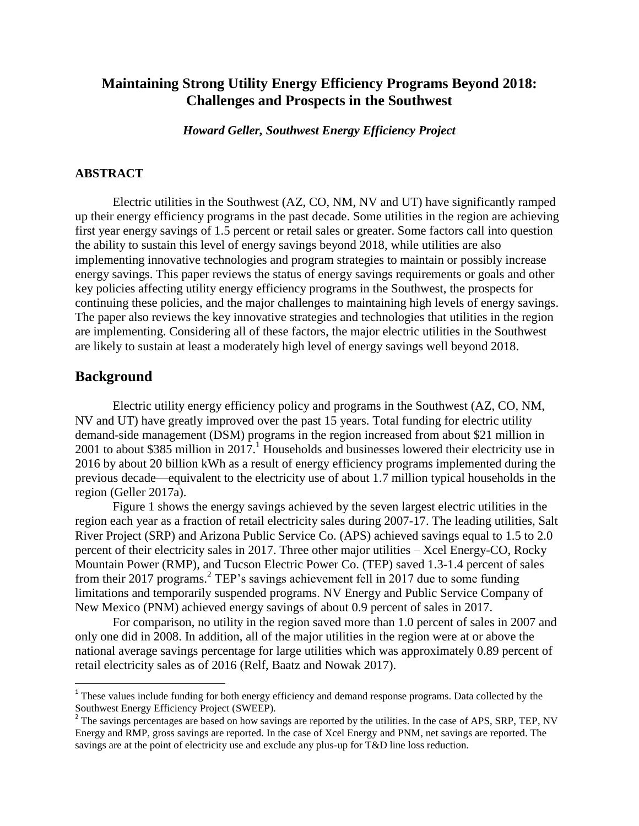# **Maintaining Strong Utility Energy Efficiency Programs Beyond 2018: Challenges and Prospects in the Southwest**

*Howard Geller, Southwest Energy Efficiency Project*

#### **ABSTRACT**

Electric utilities in the Southwest (AZ, CO, NM, NV and UT) have significantly ramped up their energy efficiency programs in the past decade. Some utilities in the region are achieving first year energy savings of 1.5 percent or retail sales or greater. Some factors call into question the ability to sustain this level of energy savings beyond 2018, while utilities are also implementing innovative technologies and program strategies to maintain or possibly increase energy savings. This paper reviews the status of energy savings requirements or goals and other key policies affecting utility energy efficiency programs in the Southwest, the prospects for continuing these policies, and the major challenges to maintaining high levels of energy savings. The paper also reviews the key innovative strategies and technologies that utilities in the region are implementing. Considering all of these factors, the major electric utilities in the Southwest are likely to sustain at least a moderately high level of energy savings well beyond 2018.

### **Background**

 $\overline{a}$ 

Electric utility energy efficiency policy and programs in the Southwest (AZ, CO, NM, NV and UT) have greatly improved over the past 15 years. Total funding for electric utility demand-side management (DSM) programs in the region increased from about \$21 million in 2001 to about \$385 million in  $2017$ .<sup>1</sup> Households and businesses lowered their electricity use in 2016 by about 20 billion kWh as a result of energy efficiency programs implemented during the previous decade—equivalent to the electricity use of about 1.7 million typical households in the region (Geller 2017a).

Figure 1 shows the energy savings achieved by the seven largest electric utilities in the region each year as a fraction of retail electricity sales during 2007-17. The leading utilities, Salt River Project (SRP) and Arizona Public Service Co. (APS) achieved savings equal to 1.5 to 2.0 percent of their electricity sales in 2017. Three other major utilities – Xcel Energy-CO, Rocky Mountain Power (RMP), and Tucson Electric Power Co. (TEP) saved 1.3-1.4 percent of sales from their 2017 programs.<sup>2</sup> TEP's savings achievement fell in 2017 due to some funding limitations and temporarily suspended programs. NV Energy and Public Service Company of New Mexico (PNM) achieved energy savings of about 0.9 percent of sales in 2017.

For comparison, no utility in the region saved more than 1.0 percent of sales in 2007 and only one did in 2008. In addition, all of the major utilities in the region were at or above the national average savings percentage for large utilities which was approximately 0.89 percent of retail electricity sales as of 2016 (Relf, Baatz and Nowak 2017).

<sup>&</sup>lt;sup>1</sup> These values include funding for both energy efficiency and demand response programs. Data collected by the Southwest Energy Efficiency Project (SWEEP).

 $2^2$  The savings percentages are based on how savings are reported by the utilities. In the case of APS, SRP, TEP, NV Energy and RMP, gross savings are reported. In the case of Xcel Energy and PNM, net savings are reported. The savings are at the point of electricity use and exclude any plus-up for T&D line loss reduction.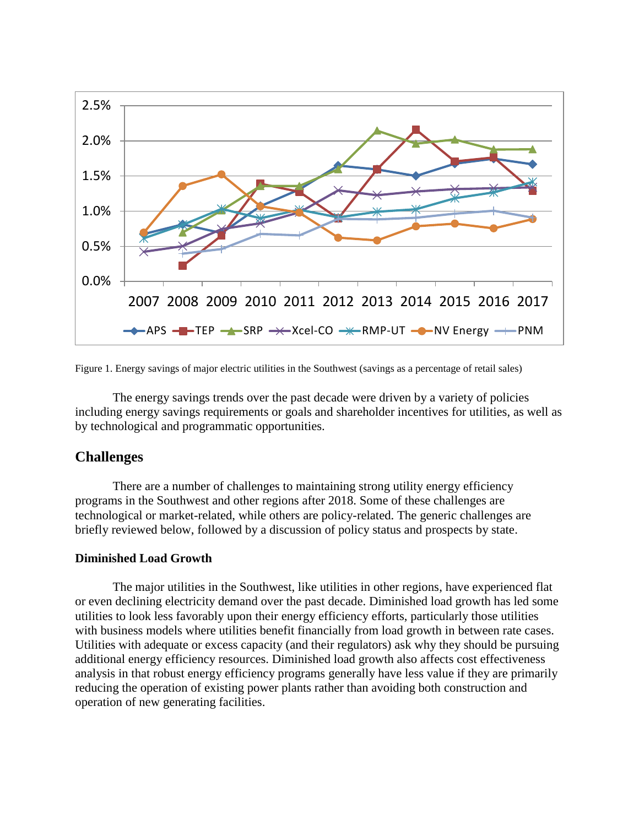

Figure 1. Energy savings of major electric utilities in the Southwest (savings as a percentage of retail sales)

The energy savings trends over the past decade were driven by a variety of policies including energy savings requirements or goals and shareholder incentives for utilities, as well as by technological and programmatic opportunities.

# **Challenges**

There are a number of challenges to maintaining strong utility energy efficiency programs in the Southwest and other regions after 2018. Some of these challenges are technological or market-related, while others are policy-related. The generic challenges are briefly reviewed below, followed by a discussion of policy status and prospects by state.

### **Diminished Load Growth**

The major utilities in the Southwest, like utilities in other regions, have experienced flat or even declining electricity demand over the past decade. Diminished load growth has led some utilities to look less favorably upon their energy efficiency efforts, particularly those utilities with business models where utilities benefit financially from load growth in between rate cases. Utilities with adequate or excess capacity (and their regulators) ask why they should be pursuing additional energy efficiency resources. Diminished load growth also affects cost effectiveness analysis in that robust energy efficiency programs generally have less value if they are primarily reducing the operation of existing power plants rather than avoiding both construction and operation of new generating facilities.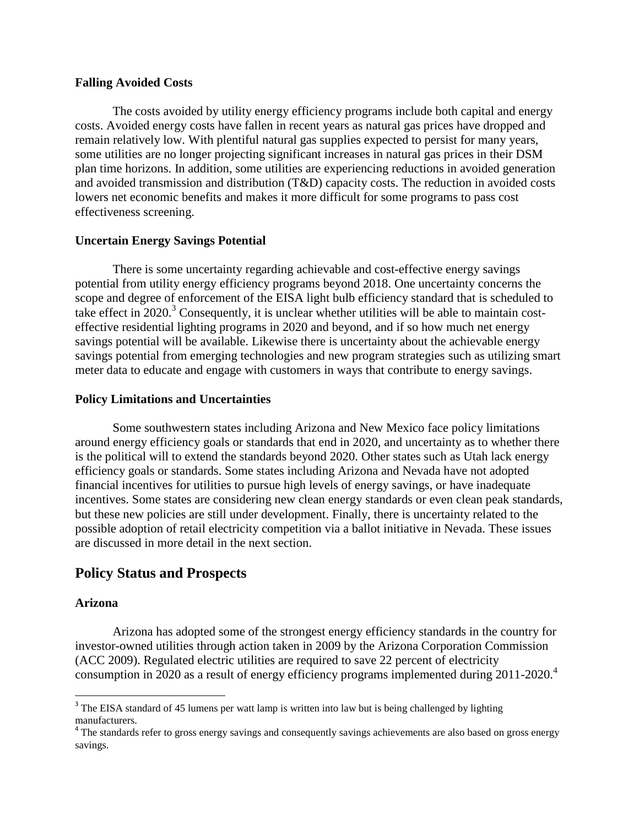### **Falling Avoided Costs**

The costs avoided by utility energy efficiency programs include both capital and energy costs. Avoided energy costs have fallen in recent years as natural gas prices have dropped and remain relatively low. With plentiful natural gas supplies expected to persist for many years, some utilities are no longer projecting significant increases in natural gas prices in their DSM plan time horizons. In addition, some utilities are experiencing reductions in avoided generation and avoided transmission and distribution (T&D) capacity costs. The reduction in avoided costs lowers net economic benefits and makes it more difficult for some programs to pass cost effectiveness screening.

### **Uncertain Energy Savings Potential**

There is some uncertainty regarding achievable and cost-effective energy savings potential from utility energy efficiency programs beyond 2018. One uncertainty concerns the scope and degree of enforcement of the EISA light bulb efficiency standard that is scheduled to take effect in  $2020$ .<sup>3</sup> Consequently, it is unclear whether utilities will be able to maintain costeffective residential lighting programs in 2020 and beyond, and if so how much net energy savings potential will be available. Likewise there is uncertainty about the achievable energy savings potential from emerging technologies and new program strategies such as utilizing smart meter data to educate and engage with customers in ways that contribute to energy savings.

### **Policy Limitations and Uncertainties**

Some southwestern states including Arizona and New Mexico face policy limitations around energy efficiency goals or standards that end in 2020, and uncertainty as to whether there is the political will to extend the standards beyond 2020. Other states such as Utah lack energy efficiency goals or standards. Some states including Arizona and Nevada have not adopted financial incentives for utilities to pursue high levels of energy savings, or have inadequate incentives. Some states are considering new clean energy standards or even clean peak standards, but these new policies are still under development. Finally, there is uncertainty related to the possible adoption of retail electricity competition via a ballot initiative in Nevada. These issues are discussed in more detail in the next section.

# **Policy Status and Prospects**

# **Arizona**

 $\overline{\phantom{a}}$ 

Arizona has adopted some of the strongest energy efficiency standards in the country for investor-owned utilities through action taken in 2009 by the Arizona Corporation Commission (ACC 2009). Regulated electric utilities are required to save 22 percent of electricity consumption in 2020 as a result of energy efficiency programs implemented during 2011-2020.<sup>4</sup>

<sup>&</sup>lt;sup>3</sup> The EISA standard of 45 lumens per watt lamp is written into law but is being challenged by lighting manufacturers.

<sup>&</sup>lt;sup>4</sup> The standards refer to gross energy savings and consequently savings achievements are also based on gross energy savings.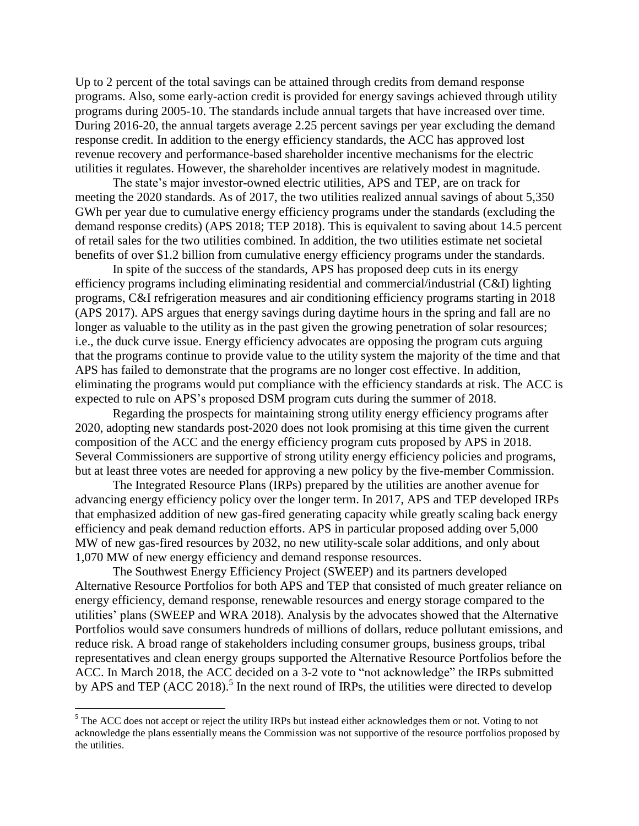Up to 2 percent of the total savings can be attained through credits from demand response programs. Also, some early-action credit is provided for energy savings achieved through utility programs during 2005-10. The standards include annual targets that have increased over time. During 2016-20, the annual targets average 2.25 percent savings per year excluding the demand response credit. In addition to the energy efficiency standards, the ACC has approved lost revenue recovery and performance-based shareholder incentive mechanisms for the electric utilities it regulates. However, the shareholder incentives are relatively modest in magnitude.

The state's major investor-owned electric utilities, APS and TEP, are on track for meeting the 2020 standards. As of 2017, the two utilities realized annual savings of about 5,350 GWh per year due to cumulative energy efficiency programs under the standards (excluding the demand response credits) (APS 2018; TEP 2018). This is equivalent to saving about 14.5 percent of retail sales for the two utilities combined. In addition, the two utilities estimate net societal benefits of over \$1.2 billion from cumulative energy efficiency programs under the standards.

In spite of the success of the standards, APS has proposed deep cuts in its energy efficiency programs including eliminating residential and commercial/industrial (C&I) lighting programs, C&I refrigeration measures and air conditioning efficiency programs starting in 2018 (APS 2017). APS argues that energy savings during daytime hours in the spring and fall are no longer as valuable to the utility as in the past given the growing penetration of solar resources; i.e., the duck curve issue. Energy efficiency advocates are opposing the program cuts arguing that the programs continue to provide value to the utility system the majority of the time and that APS has failed to demonstrate that the programs are no longer cost effective. In addition, eliminating the programs would put compliance with the efficiency standards at risk. The ACC is expected to rule on APS's proposed DSM program cuts during the summer of 2018.

Regarding the prospects for maintaining strong utility energy efficiency programs after 2020, adopting new standards post-2020 does not look promising at this time given the current composition of the ACC and the energy efficiency program cuts proposed by APS in 2018. Several Commissioners are supportive of strong utility energy efficiency policies and programs, but at least three votes are needed for approving a new policy by the five-member Commission.

The Integrated Resource Plans (IRPs) prepared by the utilities are another avenue for advancing energy efficiency policy over the longer term. In 2017, APS and TEP developed IRPs that emphasized addition of new gas-fired generating capacity while greatly scaling back energy efficiency and peak demand reduction efforts. APS in particular proposed adding over 5,000 MW of new gas-fired resources by 2032, no new utility-scale solar additions, and only about 1,070 MW of new energy efficiency and demand response resources.

The Southwest Energy Efficiency Project (SWEEP) and its partners developed Alternative Resource Portfolios for both APS and TEP that consisted of much greater reliance on energy efficiency, demand response, renewable resources and energy storage compared to the utilities' plans (SWEEP and WRA 2018). Analysis by the advocates showed that the Alternative Portfolios would save consumers hundreds of millions of dollars, reduce pollutant emissions, and reduce risk. A broad range of stakeholders including consumer groups, business groups, tribal representatives and clean energy groups supported the Alternative Resource Portfolios before the ACC. In March 2018, the ACC decided on a 3-2 vote to "not acknowledge" the IRPs submitted by APS and TEP (ACC 2018).<sup>5</sup> In the next round of IRPs, the utilities were directed to develop

 $\overline{\phantom{a}}$ 

<sup>&</sup>lt;sup>5</sup> The ACC does not accept or reject the utility IRPs but instead either acknowledges them or not. Voting to not acknowledge the plans essentially means the Commission was not supportive of the resource portfolios proposed by the utilities.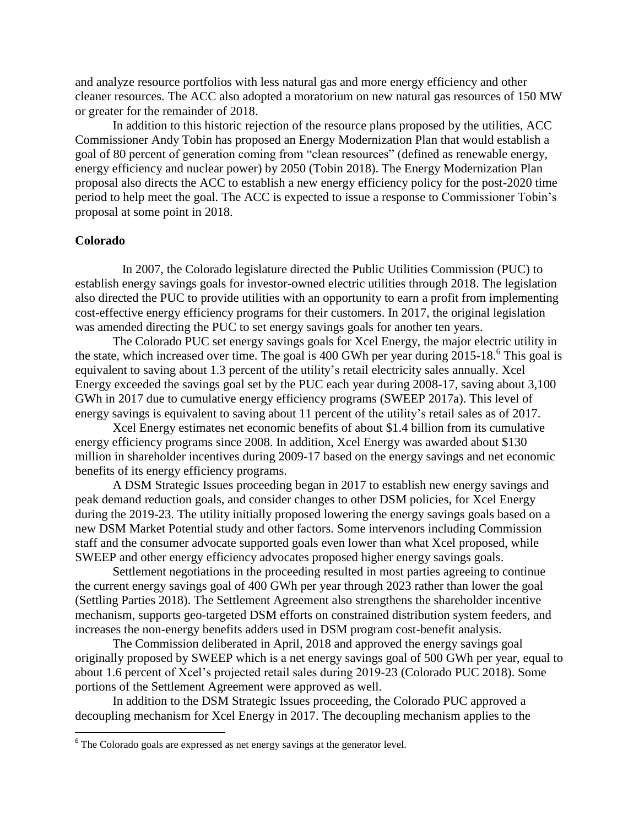and analyze resource portfolios with less natural gas and more energy efficiency and other cleaner resources. The ACC also adopted a moratorium on new natural gas resources of 150 MW or greater for the remainder of 2018.

In addition to this historic rejection of the resource plans proposed by the utilities, ACC Commissioner Andy Tobin has proposed an Energy Modernization Plan that would establish a goal of 80 percent of generation coming from "clean resources" (defined as renewable energy, energy efficiency and nuclear power) by 2050 (Tobin 2018). The Energy Modernization Plan proposal also directs the ACC to establish a new energy efficiency policy for the post-2020 time period to help meet the goal. The ACC is expected to issue a response to Commissioner Tobin's proposal at some point in 2018.

### **Colorado**

 In 2007, the Colorado legislature directed the Public Utilities Commission (PUC) to establish energy savings goals for investor-owned electric utilities through 2018. The legislation also directed the PUC to provide utilities with an opportunity to earn a profit from implementing cost-effective energy efficiency programs for their customers. In 2017, the original legislation was amended directing the PUC to set energy savings goals for another ten years.

The Colorado PUC set energy savings goals for Xcel Energy, the major electric utility in the state, which increased over time. The goal is 400 GWh per year during 2015-18. 6 This goal is equivalent to saving about 1.3 percent of the utility's retail electricity sales annually. Xcel Energy exceeded the savings goal set by the PUC each year during 2008-17, saving about 3,100 GWh in 2017 due to cumulative energy efficiency programs (SWEEP 2017a). This level of energy savings is equivalent to saving about 11 percent of the utility's retail sales as of 2017.

Xcel Energy estimates net economic benefits of about \$1.4 billion from its cumulative energy efficiency programs since 2008. In addition, Xcel Energy was awarded about \$130 million in shareholder incentives during 2009-17 based on the energy savings and net economic benefits of its energy efficiency programs.

A DSM Strategic Issues proceeding began in 2017 to establish new energy savings and peak demand reduction goals, and consider changes to other DSM policies, for Xcel Energy during the 2019-23. The utility initially proposed lowering the energy savings goals based on a new DSM Market Potential study and other factors. Some intervenors including Commission staff and the consumer advocate supported goals even lower than what Xcel proposed, while SWEEP and other energy efficiency advocates proposed higher energy savings goals.

Settlement negotiations in the proceeding resulted in most parties agreeing to continue the current energy savings goal of 400 GWh per year through 2023 rather than lower the goal (Settling Parties 2018). The Settlement Agreement also strengthens the shareholder incentive mechanism, supports geo-targeted DSM efforts on constrained distribution system feeders, and increases the non-energy benefits adders used in DSM program cost-benefit analysis.

The Commission deliberated in April, 2018 and approved the energy savings goal originally proposed by SWEEP which is a net energy savings goal of 500 GWh per year, equal to about 1.6 percent of Xcel's projected retail sales during 2019-23 (Colorado PUC 2018). Some portions of the Settlement Agreement were approved as well.

In addition to the DSM Strategic Issues proceeding, the Colorado PUC approved a decoupling mechanism for Xcel Energy in 2017. The decoupling mechanism applies to the

<sup>&</sup>lt;sup>6</sup> The Colorado goals are expressed as net energy savings at the generator level.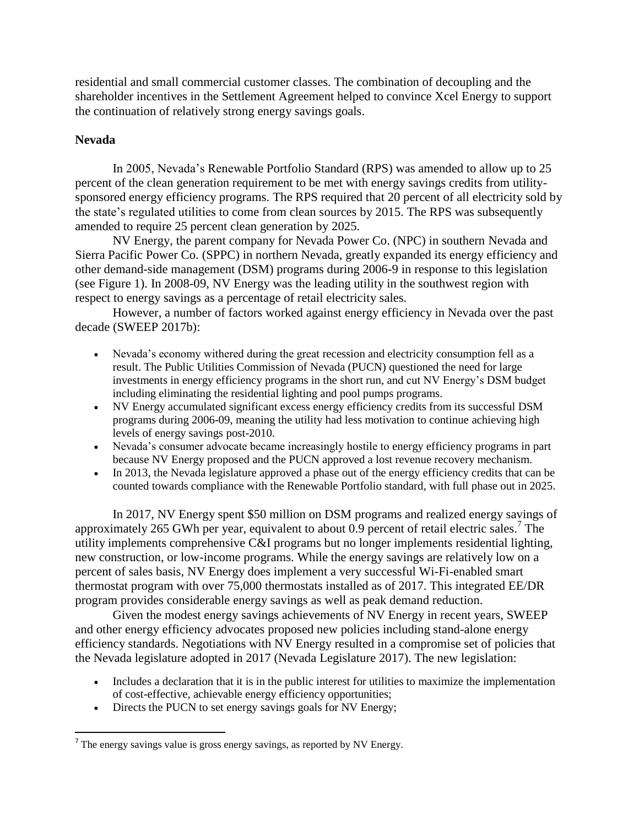residential and small commercial customer classes. The combination of decoupling and the shareholder incentives in the Settlement Agreement helped to convince Xcel Energy to support the continuation of relatively strong energy savings goals.

## **Nevada**

 $\overline{\phantom{a}}$ 

In 2005, Nevada's Renewable Portfolio Standard (RPS) was amended to allow up to 25 percent of the clean generation requirement to be met with energy savings credits from utilitysponsored energy efficiency programs. The RPS required that 20 percent of all electricity sold by the state's regulated utilities to come from clean sources by 2015. The RPS was subsequently amended to require 25 percent clean generation by 2025.

NV Energy, the parent company for Nevada Power Co. (NPC) in southern Nevada and Sierra Pacific Power Co. (SPPC) in northern Nevada, greatly expanded its energy efficiency and other demand-side management (DSM) programs during 2006-9 in response to this legislation (see Figure 1). In 2008-09, NV Energy was the leading utility in the southwest region with respect to energy savings as a percentage of retail electricity sales.

However, a number of factors worked against energy efficiency in Nevada over the past decade (SWEEP 2017b):

- Nevada's economy withered during the great recession and electricity consumption fell as a result. The Public Utilities Commission of Nevada (PUCN) questioned the need for large investments in energy efficiency programs in the short run, and cut NV Energy's DSM budget including eliminating the residential lighting and pool pumps programs.
- NV Energy accumulated significant excess energy efficiency credits from its successful DSM programs during 2006-09, meaning the utility had less motivation to continue achieving high levels of energy savings post-2010.
- Nevada's consumer advocate became increasingly hostile to energy efficiency programs in part because NV Energy proposed and the PUCN approved a lost revenue recovery mechanism.
- In 2013, the Nevada legislature approved a phase out of the energy efficiency credits that can be counted towards compliance with the Renewable Portfolio standard, with full phase out in 2025.

In 2017, NV Energy spent \$50 million on DSM programs and realized energy savings of approximately 265 GWh per year, equivalent to about  $0.9$  percent of retail electric sales.<sup>7</sup> The utility implements comprehensive C&I programs but no longer implements residential lighting, new construction, or low-income programs. While the energy savings are relatively low on a percent of sales basis, NV Energy does implement a very successful Wi-Fi-enabled smart thermostat program with over 75,000 thermostats installed as of 2017. This integrated EE/DR program provides considerable energy savings as well as peak demand reduction.

Given the modest energy savings achievements of NV Energy in recent years, SWEEP and other energy efficiency advocates proposed new policies including stand-alone energy efficiency standards. Negotiations with NV Energy resulted in a compromise set of policies that the Nevada legislature adopted in 2017 (Nevada Legislature 2017). The new legislation:

- Includes a declaration that it is in the public interest for utilities to maximize the implementation of cost-effective, achievable energy efficiency opportunities;
- Directs the PUCN to set energy savings goals for NV Energy;

The energy savings value is gross energy savings, as reported by NV Energy.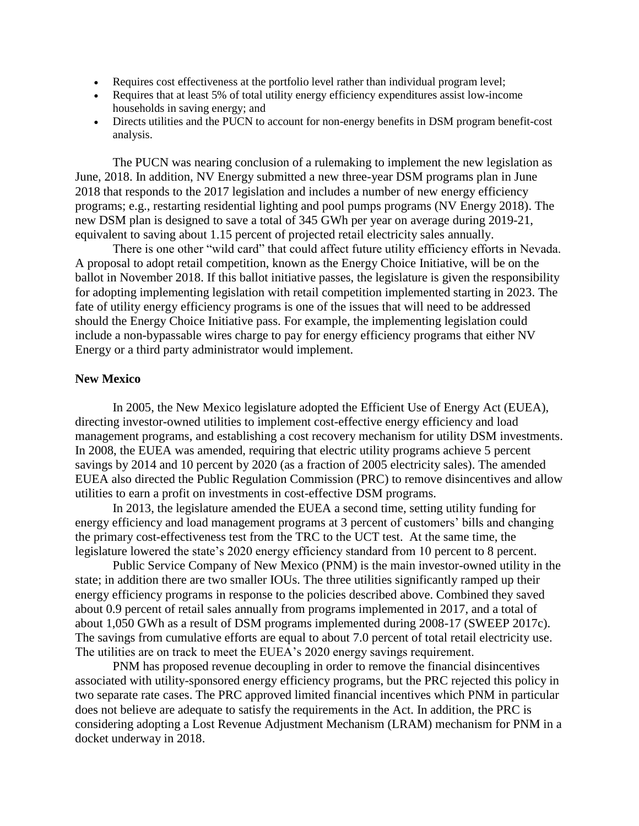- Requires cost effectiveness at the portfolio level rather than individual program level;
- Requires that at least 5% of total utility energy efficiency expenditures assist low-income households in saving energy; and
- Directs utilities and the PUCN to account for non-energy benefits in DSM program benefit-cost analysis.

The PUCN was nearing conclusion of a rulemaking to implement the new legislation as June, 2018. In addition, NV Energy submitted a new three-year DSM programs plan in June 2018 that responds to the 2017 legislation and includes a number of new energy efficiency programs; e.g., restarting residential lighting and pool pumps programs (NV Energy 2018). The new DSM plan is designed to save a total of 345 GWh per year on average during 2019-21, equivalent to saving about 1.15 percent of projected retail electricity sales annually.

There is one other "wild card" that could affect future utility efficiency efforts in Nevada. A proposal to adopt retail competition, known as the Energy Choice Initiative, will be on the ballot in November 2018. If this ballot initiative passes, the legislature is given the responsibility for adopting implementing legislation with retail competition implemented starting in 2023. The fate of utility energy efficiency programs is one of the issues that will need to be addressed should the Energy Choice Initiative pass. For example, the implementing legislation could include a non-bypassable wires charge to pay for energy efficiency programs that either NV Energy or a third party administrator would implement.

#### **New Mexico**

In 2005, the New Mexico legislature adopted the Efficient Use of Energy Act (EUEA), directing investor-owned utilities to implement cost-effective energy efficiency and load management programs, and establishing a cost recovery mechanism for utility DSM investments. In 2008, the EUEA was amended, requiring that electric utility programs achieve 5 percent savings by 2014 and 10 percent by 2020 (as a fraction of 2005 electricity sales). The amended EUEA also directed the Public Regulation Commission (PRC) to remove disincentives and allow utilities to earn a profit on investments in cost-effective DSM programs.

In 2013, the legislature amended the EUEA a second time, setting utility funding for energy efficiency and load management programs at 3 percent of customers' bills and changing the primary cost-effectiveness test from the TRC to the UCT test. At the same time, the legislature lowered the state's 2020 energy efficiency standard from 10 percent to 8 percent.

Public Service Company of New Mexico (PNM) is the main investor-owned utility in the state; in addition there are two smaller IOUs. The three utilities significantly ramped up their energy efficiency programs in response to the policies described above. Combined they saved about 0.9 percent of retail sales annually from programs implemented in 2017, and a total of about 1,050 GWh as a result of DSM programs implemented during 2008-17 (SWEEP 2017c). The savings from cumulative efforts are equal to about 7.0 percent of total retail electricity use. The utilities are on track to meet the EUEA's 2020 energy savings requirement.

PNM has proposed revenue decoupling in order to remove the financial disincentives associated with utility-sponsored energy efficiency programs, but the PRC rejected this policy in two separate rate cases. The PRC approved limited financial incentives which PNM in particular does not believe are adequate to satisfy the requirements in the Act. In addition, the PRC is considering adopting a Lost Revenue Adjustment Mechanism (LRAM) mechanism for PNM in a docket underway in 2018.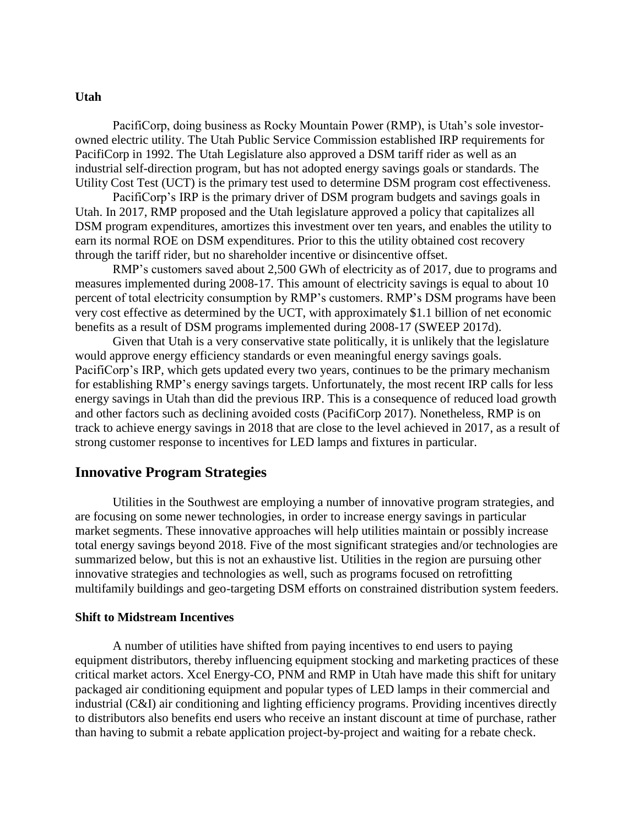#### **Utah**

PacifiCorp, doing business as Rocky Mountain Power (RMP), is Utah's sole investorowned electric utility. The Utah Public Service Commission established IRP requirements for PacifiCorp in 1992. The Utah Legislature also approved a DSM tariff rider as well as an industrial self-direction program, but has not adopted energy savings goals or standards. The Utility Cost Test (UCT) is the primary test used to determine DSM program cost effectiveness.

PacifiCorp's IRP is the primary driver of DSM program budgets and savings goals in Utah. In 2017, RMP proposed and the Utah legislature approved a policy that capitalizes all DSM program expenditures, amortizes this investment over ten years, and enables the utility to earn its normal ROE on DSM expenditures. Prior to this the utility obtained cost recovery through the tariff rider, but no shareholder incentive or disincentive offset.

RMP's customers saved about 2,500 GWh of electricity as of 2017, due to programs and measures implemented during 2008-17. This amount of electricity savings is equal to about 10 percent of total electricity consumption by RMP's customers. RMP's DSM programs have been very cost effective as determined by the UCT, with approximately \$1.1 billion of net economic benefits as a result of DSM programs implemented during 2008-17 (SWEEP 2017d).

Given that Utah is a very conservative state politically, it is unlikely that the legislature would approve energy efficiency standards or even meaningful energy savings goals. PacifiCorp's IRP, which gets updated every two years, continues to be the primary mechanism for establishing RMP's energy savings targets. Unfortunately, the most recent IRP calls for less energy savings in Utah than did the previous IRP. This is a consequence of reduced load growth and other factors such as declining avoided costs (PacifiCorp 2017). Nonetheless, RMP is on track to achieve energy savings in 2018 that are close to the level achieved in 2017, as a result of strong customer response to incentives for LED lamps and fixtures in particular.

## **Innovative Program Strategies**

Utilities in the Southwest are employing a number of innovative program strategies, and are focusing on some newer technologies, in order to increase energy savings in particular market segments. These innovative approaches will help utilities maintain or possibly increase total energy savings beyond 2018. Five of the most significant strategies and/or technologies are summarized below, but this is not an exhaustive list. Utilities in the region are pursuing other innovative strategies and technologies as well, such as programs focused on retrofitting multifamily buildings and geo-targeting DSM efforts on constrained distribution system feeders.

#### **Shift to Midstream Incentives**

A number of utilities have shifted from paying incentives to end users to paying equipment distributors, thereby influencing equipment stocking and marketing practices of these critical market actors. Xcel Energy-CO, PNM and RMP in Utah have made this shift for unitary packaged air conditioning equipment and popular types of LED lamps in their commercial and industrial (C&I) air conditioning and lighting efficiency programs. Providing incentives directly to distributors also benefits end users who receive an instant discount at time of purchase, rather than having to submit a rebate application project-by-project and waiting for a rebate check.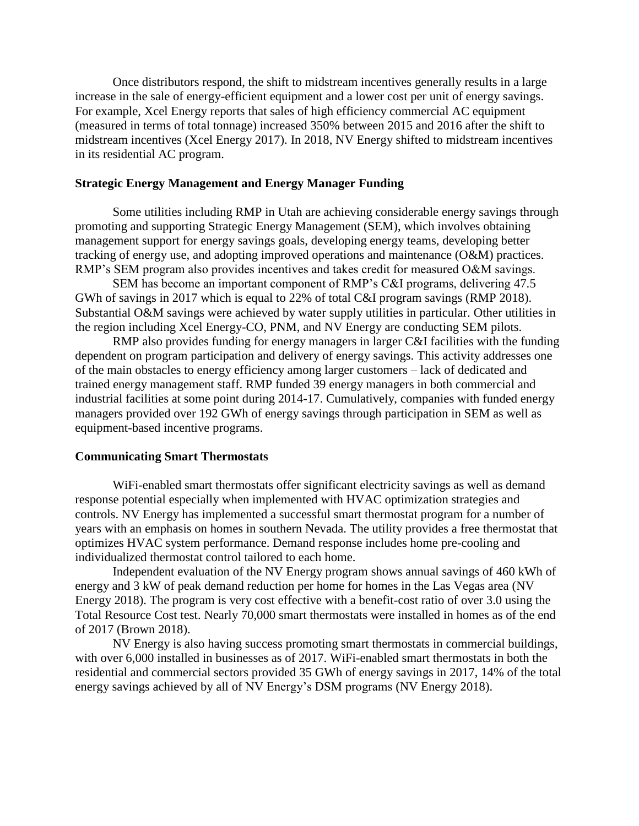Once distributors respond, the shift to midstream incentives generally results in a large increase in the sale of energy-efficient equipment and a lower cost per unit of energy savings. For example, Xcel Energy reports that sales of high efficiency commercial AC equipment (measured in terms of total tonnage) increased 350% between 2015 and 2016 after the shift to midstream incentives (Xcel Energy 2017). In 2018, NV Energy shifted to midstream incentives in its residential AC program.

### **Strategic Energy Management and Energy Manager Funding**

Some utilities including RMP in Utah are achieving considerable energy savings through promoting and supporting Strategic Energy Management (SEM), which involves obtaining management support for energy savings goals, developing energy teams, developing better tracking of energy use, and adopting improved operations and maintenance (O&M) practices. RMP's SEM program also provides incentives and takes credit for measured O&M savings.

SEM has become an important component of RMP's C&I programs, delivering 47.5 GWh of savings in 2017 which is equal to 22% of total C&I program savings (RMP 2018). Substantial O&M savings were achieved by water supply utilities in particular. Other utilities in the region including Xcel Energy-CO, PNM, and NV Energy are conducting SEM pilots.

RMP also provides funding for energy managers in larger C&I facilities with the funding dependent on program participation and delivery of energy savings. This activity addresses one of the main obstacles to energy efficiency among larger customers – lack of dedicated and trained energy management staff. RMP funded 39 energy managers in both commercial and industrial facilities at some point during 2014-17. Cumulatively, companies with funded energy managers provided over 192 GWh of energy savings through participation in SEM as well as equipment-based incentive programs.

#### **Communicating Smart Thermostats**

WiFi-enabled smart thermostats offer significant electricity savings as well as demand response potential especially when implemented with HVAC optimization strategies and controls. NV Energy has implemented a successful smart thermostat program for a number of years with an emphasis on homes in southern Nevada. The utility provides a free thermostat that optimizes HVAC system performance. Demand response includes home pre-cooling and individualized thermostat control tailored to each home.

Independent evaluation of the NV Energy program shows annual savings of 460 kWh of energy and 3 kW of peak demand reduction per home for homes in the Las Vegas area (NV Energy 2018). The program is very cost effective with a benefit-cost ratio of over 3.0 using the Total Resource Cost test. Nearly 70,000 smart thermostats were installed in homes as of the end of 2017 (Brown 2018).

NV Energy is also having success promoting smart thermostats in commercial buildings, with over 6,000 installed in businesses as of 2017. WiFi-enabled smart thermostats in both the residential and commercial sectors provided 35 GWh of energy savings in 2017, 14% of the total energy savings achieved by all of NV Energy's DSM programs (NV Energy 2018).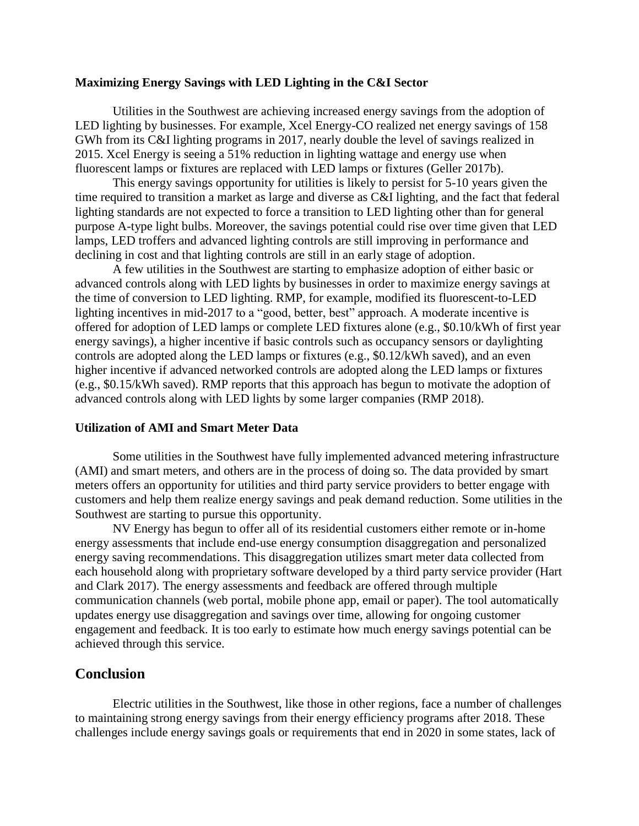#### **Maximizing Energy Savings with LED Lighting in the C&I Sector**

Utilities in the Southwest are achieving increased energy savings from the adoption of LED lighting by businesses. For example, Xcel Energy-CO realized net energy savings of 158 GWh from its C&I lighting programs in 2017, nearly double the level of savings realized in 2015. Xcel Energy is seeing a 51% reduction in lighting wattage and energy use when fluorescent lamps or fixtures are replaced with LED lamps or fixtures (Geller 2017b).

This energy savings opportunity for utilities is likely to persist for 5-10 years given the time required to transition a market as large and diverse as C&I lighting, and the fact that federal lighting standards are not expected to force a transition to LED lighting other than for general purpose A-type light bulbs. Moreover, the savings potential could rise over time given that LED lamps, LED troffers and advanced lighting controls are still improving in performance and declining in cost and that lighting controls are still in an early stage of adoption.

A few utilities in the Southwest are starting to emphasize adoption of either basic or advanced controls along with LED lights by businesses in order to maximize energy savings at the time of conversion to LED lighting. RMP, for example, modified its fluorescent-to-LED lighting incentives in mid-2017 to a "good, better, best" approach. A moderate incentive is offered for adoption of LED lamps or complete LED fixtures alone (e.g., \$0.10/kWh of first year energy savings), a higher incentive if basic controls such as occupancy sensors or daylighting controls are adopted along the LED lamps or fixtures (e.g., \$0.12/kWh saved), and an even higher incentive if advanced networked controls are adopted along the LED lamps or fixtures (e.g., \$0.15/kWh saved). RMP reports that this approach has begun to motivate the adoption of advanced controls along with LED lights by some larger companies (RMP 2018).

#### **Utilization of AMI and Smart Meter Data**

Some utilities in the Southwest have fully implemented advanced metering infrastructure (AMI) and smart meters, and others are in the process of doing so. The data provided by smart meters offers an opportunity for utilities and third party service providers to better engage with customers and help them realize energy savings and peak demand reduction. Some utilities in the Southwest are starting to pursue this opportunity.

NV Energy has begun to offer all of its residential customers either remote or in-home energy assessments that include end-use energy consumption disaggregation and personalized energy saving recommendations. This disaggregation utilizes smart meter data collected from each household along with proprietary software developed by a third party service provider (Hart and Clark 2017). The energy assessments and feedback are offered through multiple communication channels (web portal, mobile phone app, email or paper). The tool automatically updates energy use disaggregation and savings over time, allowing for ongoing customer engagement and feedback. It is too early to estimate how much energy savings potential can be achieved through this service.

# **Conclusion**

Electric utilities in the Southwest, like those in other regions, face a number of challenges to maintaining strong energy savings from their energy efficiency programs after 2018. These challenges include energy savings goals or requirements that end in 2020 in some states, lack of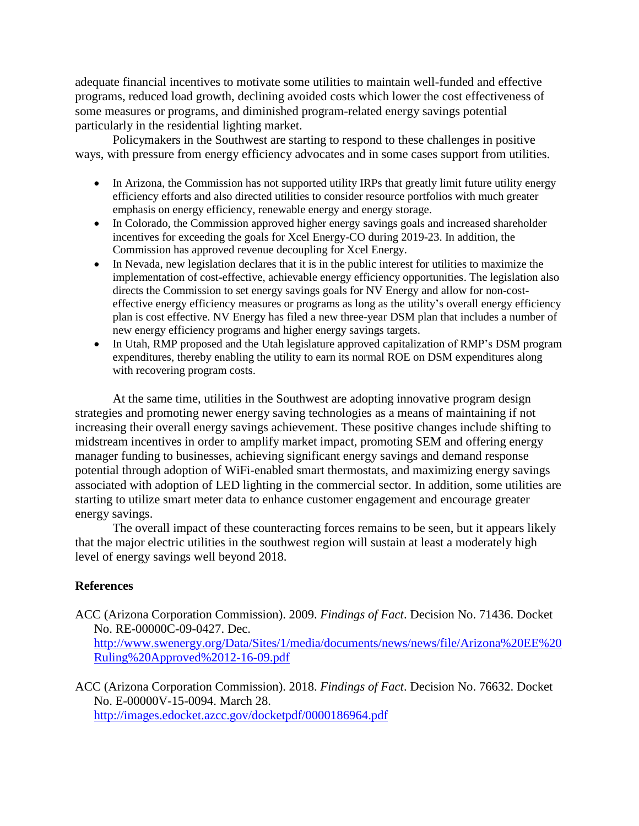adequate financial incentives to motivate some utilities to maintain well-funded and effective programs, reduced load growth, declining avoided costs which lower the cost effectiveness of some measures or programs, and diminished program-related energy savings potential particularly in the residential lighting market.

Policymakers in the Southwest are starting to respond to these challenges in positive ways, with pressure from energy efficiency advocates and in some cases support from utilities.

- In Arizona, the Commission has not supported utility IRPs that greatly limit future utility energy efficiency efforts and also directed utilities to consider resource portfolios with much greater emphasis on energy efficiency, renewable energy and energy storage.
- In Colorado, the Commission approved higher energy savings goals and increased shareholder incentives for exceeding the goals for Xcel Energy-CO during 2019-23. In addition, the Commission has approved revenue decoupling for Xcel Energy.
- In Nevada, new legislation declares that it is in the public interest for utilities to maximize the implementation of cost-effective, achievable energy efficiency opportunities. The legislation also directs the Commission to set energy savings goals for NV Energy and allow for non-costeffective energy efficiency measures or programs as long as the utility's overall energy efficiency plan is cost effective. NV Energy has filed a new three-year DSM plan that includes a number of new energy efficiency programs and higher energy savings targets.
- In Utah, RMP proposed and the Utah legislature approved capitalization of RMP's DSM program expenditures, thereby enabling the utility to earn its normal ROE on DSM expenditures along with recovering program costs.

At the same time, utilities in the Southwest are adopting innovative program design strategies and promoting newer energy saving technologies as a means of maintaining if not increasing their overall energy savings achievement. These positive changes include shifting to midstream incentives in order to amplify market impact, promoting SEM and offering energy manager funding to businesses, achieving significant energy savings and demand response potential through adoption of WiFi-enabled smart thermostats, and maximizing energy savings associated with adoption of LED lighting in the commercial sector. In addition, some utilities are starting to utilize smart meter data to enhance customer engagement and encourage greater energy savings.

The overall impact of these counteracting forces remains to be seen, but it appears likely that the major electric utilities in the southwest region will sustain at least a moderately high level of energy savings well beyond 2018.

# **References**

- ACC (Arizona Corporation Commission). 2009. *Findings of Fact*. Decision No. 71436. Docket No. RE-00000C-09-0427. Dec. [http://www.swenergy.org/Data/Sites/1/media/documents/news/news/file/Arizona%20EE%20](http://www.swenergy.org/Data/Sites/1/media/documents/news/news/file/Arizona%20EE%20Ruling%20Approved%2012-16-09.pdf) [Ruling%20Approved%2012-16-09.pdf](http://www.swenergy.org/Data/Sites/1/media/documents/news/news/file/Arizona%20EE%20Ruling%20Approved%2012-16-09.pdf)
- ACC (Arizona Corporation Commission). 2018. *Findings of Fact*. Decision No. 76632. Docket No. E-00000V-15-0094. March 28. <http://images.edocket.azcc.gov/docketpdf/0000186964.pdf>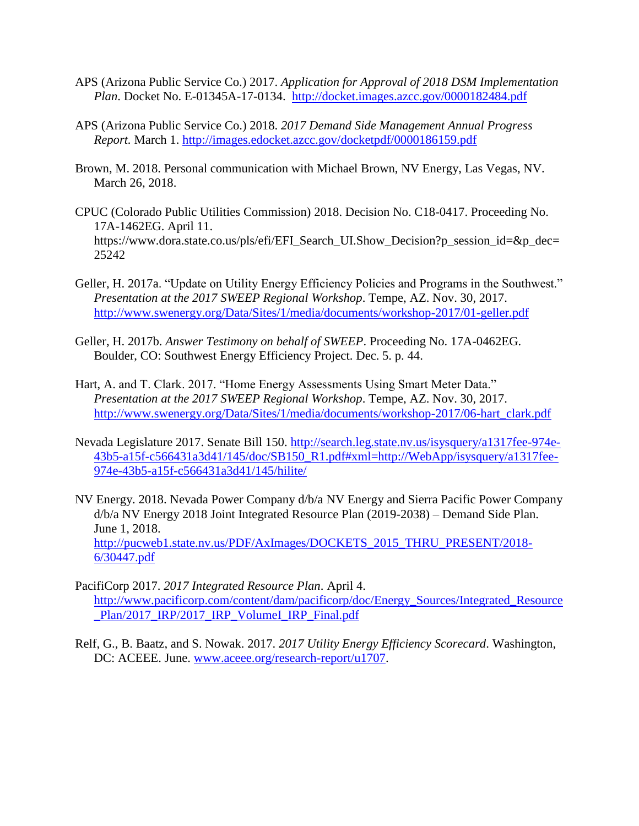- APS (Arizona Public Service Co.) 2017. *Application for Approval of 2018 DSM Implementation Plan*. Docket No. E-01345A-17-0134. <http://docket.images.azcc.gov/0000182484.pdf>
- APS (Arizona Public Service Co.) 2018. *2017 Demand Side Management Annual Progress Report.* March 1.<http://images.edocket.azcc.gov/docketpdf/0000186159.pdf>
- Brown, M. 2018. Personal communication with Michael Brown, NV Energy, Las Vegas, NV. March 26, 2018.
- CPUC (Colorado Public Utilities Commission) 2018. Decision No. C18-0417. Proceeding No. 17A-1462EG. April 11. https://www.dora.state.co.us/pls/efi/EFI\_Search\_UI.Show\_Decision?p\_session\_id=&p\_dec= 25242
- Geller, H. 2017a. "Update on Utility Energy Efficiency Policies and Programs in the Southwest." *Presentation at the 2017 SWEEP Regional Workshop*. Tempe, AZ. Nov. 30, 2017. <http://www.swenergy.org/Data/Sites/1/media/documents/workshop-2017/01-geller.pdf>
- Geller, H. 2017b. *Answer Testimony on behalf of SWEEP*. Proceeding No. 17A-0462EG. Boulder, CO: Southwest Energy Efficiency Project. Dec. 5. p. 44.
- Hart, A. and T. Clark. 2017. "Home Energy Assessments Using Smart Meter Data." *Presentation at the 2017 SWEEP Regional Workshop*. Tempe, AZ. Nov. 30, 2017. [http://www.swenergy.org/Data/Sites/1/media/documents/workshop-2017/06-hart\\_clark.pdf](http://www.swenergy.org/Data/Sites/1/media/documents/workshop-2017/06-hart_clark.pdf)
- Nevada Legislature 2017. Senate Bill 150. [http://search.leg.state.nv.us/isysquery/a1317fee-974e-](http://search.leg.state.nv.us/isysquery/a1317fee-974e-43b5-a15f-c566431a3d41/145/doc/SB150_R1.pdf#xml=http://WebApp/isysquery/a1317fee-974e-43b5-a15f-c566431a3d41/145/hilite/)[43b5-a15f-c566431a3d41/145/doc/SB150\\_R1.pdf#xml=http://WebApp/isysquery/a1317fee-](http://search.leg.state.nv.us/isysquery/a1317fee-974e-43b5-a15f-c566431a3d41/145/doc/SB150_R1.pdf#xml=http://WebApp/isysquery/a1317fee-974e-43b5-a15f-c566431a3d41/145/hilite/)[974e-43b5-a15f-c566431a3d41/145/hilite/](http://search.leg.state.nv.us/isysquery/a1317fee-974e-43b5-a15f-c566431a3d41/145/doc/SB150_R1.pdf#xml=http://WebApp/isysquery/a1317fee-974e-43b5-a15f-c566431a3d41/145/hilite/)
- NV Energy. 2018. Nevada Power Company d/b/a NV Energy and Sierra Pacific Power Company d/b/a NV Energy 2018 Joint Integrated Resource Plan (2019-2038) – Demand Side Plan. June 1, 2018. [http://pucweb1.state.nv.us/PDF/AxImages/DOCKETS\\_2015\\_THRU\\_PRESENT/2018-](http://pucweb1.state.nv.us/PDF/AxImages/DOCKETS_2015_THRU_PRESENT/2018-6/30447.pdf) [6/30447.pdf](http://pucweb1.state.nv.us/PDF/AxImages/DOCKETS_2015_THRU_PRESENT/2018-6/30447.pdf)
- PacifiCorp 2017. *2017 Integrated Resource Plan*. April 4. [http://www.pacificorp.com/content/dam/pacificorp/doc/Energy\\_Sources/Integrated\\_Resource](http://www.pacificorp.com/content/dam/pacificorp/doc/Energy_Sources/Integrated_Resource_Plan/2017_IRP/2017_IRP_VolumeI_IRP_Final.pdf) [\\_Plan/2017\\_IRP/2017\\_IRP\\_VolumeI\\_IRP\\_Final.pdf](http://www.pacificorp.com/content/dam/pacificorp/doc/Energy_Sources/Integrated_Resource_Plan/2017_IRP/2017_IRP_VolumeI_IRP_Final.pdf)
- Relf, G., B. Baatz, and S. Nowak. 2017. *2017 Utility Energy Efficiency Scorecard*. Washington, DC: ACEEE. June. [www.aceee.org/research-report/u1707.](http://www.aceee.org/research-report/u1707)